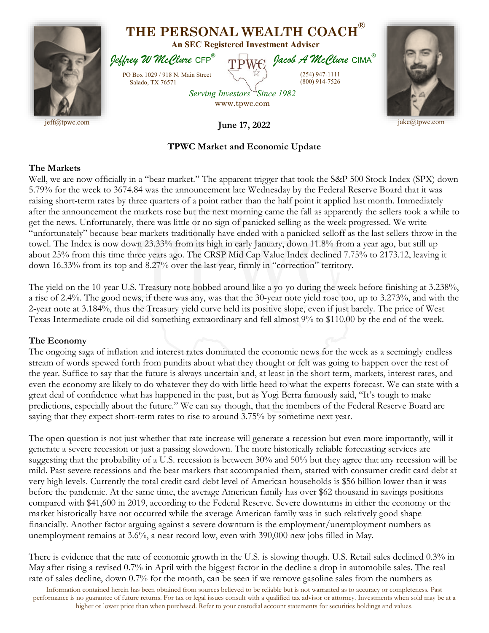

## **TPWC Market and Economic Update**

## **The Markets**

Well, we are now officially in a "bear market." The apparent trigger that took the S&P 500 Stock Index (SPX) down 5.79% for the week to 3674.84 was the announcement late Wednesday by the Federal Reserve Board that it was raising short-term rates by three quarters of a point rather than the half point it applied last month. Immediately after the announcement the markets rose but the next morning came the fall as apparently the sellers took a while to get the news. Unfortunately, there was little or no sign of panicked selling as the week progressed. We write "unfortunately" because bear markets traditionally have ended with a panicked selloff as the last sellers throw in the towel. The Index is now down 23.33% from its high in early January, down 11.8% from a year ago, but still up about 25% from this time three years ago. The CRSP Mid Cap Value Index declined 7.75% to 2173.12, leaving it down 16.33% from its top and 8.27% over the last year, firmly in "correction" territory.

The yield on the 10-year U.S. Treasury note bobbed around like a yo-yo during the week before finishing at 3.238%, a rise of 2.4%. The good news, if there was any, was that the 30-year note yield rose too, up to 3.273%, and with the 2-year note at 3.184%, thus the Treasury yield curve held its positive slope, even if just barely. The price of West Texas Intermediate crude oil did something extraordinary and fell almost 9% to \$110.00 by the end of the week.

## **The Economy**

The ongoing saga of inflation and interest rates dominated the economic news for the week as a seemingly endless stream of words spewed forth from pundits about what they thought or felt was going to happen over the rest of the year. Suffice to say that the future is always uncertain and, at least in the short term, markets, interest rates, and even the economy are likely to do whatever they do with little heed to what the experts forecast. We can state with a great deal of confidence what has happened in the past, but as Yogi Berra famously said, "It's tough to make predictions, especially about the future." We can say though, that the members of the Federal Reserve Board are saying that they expect short-term rates to rise to around 3.75% by sometime next year.

The open question is not just whether that rate increase will generate a recession but even more importantly, will it generate a severe recession or just a passing slowdown. The more historically reliable forecasting services are suggesting that the probability of a U.S. recession is between 30% and 50% but they agree that any recession will be mild. Past severe recessions and the bear markets that accompanied them, started with consumer credit card debt at very high levels. Currently the total credit card debt level of American households is \$56 billion lower than it was before the pandemic. At the same time, the average American family has over \$62 thousand in savings positions compared with \$41,600 in 2019, according to the Federal Reserve. Severe downturns in either the economy or the market historically have not occurred while the average American family was in such relatively good shape financially. Another factor arguing against a severe downturn is the employment/unemployment numbers as unemployment remains at 3.6%, a near record low, even with 390,000 new jobs filled in May.

There is evidence that the rate of economic growth in the U.S. is slowing though. U.S. Retail sales declined 0.3% in May after rising a revised 0.7% in April with the biggest factor in the decline a drop in automobile sales. The real rate of sales decline, down 0.7% for the month, can be seen if we remove gasoline sales from the numbers as

Information contained herein has been obtained from sources believed to be reliable but is not warranted as to accuracy or completeness. Past performance is no guarantee of future returns. For tax or legal issues consult with a qualified tax advisor or attorney. Investments when sold may be at a higher or lower price than when purchased. Refer to your custodial account statements for securities holdings and values.